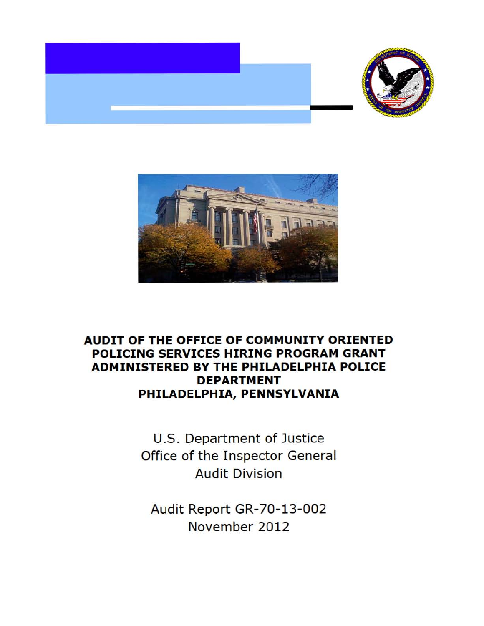



# **AUDIT OF THE OFFICE OF COMMUNITY ORIENTED POLICING SERVICES HIRING PROGRAM GRANT ADMINISTERED BY THE PHILADELPHIA POLICE DEPARTMENT** PHILADELPHIA, PENNSYLVANIA

U.S. Department of Justice Office of the Inspector General Audit Division

Audit Report GR-70-13-002 November 2012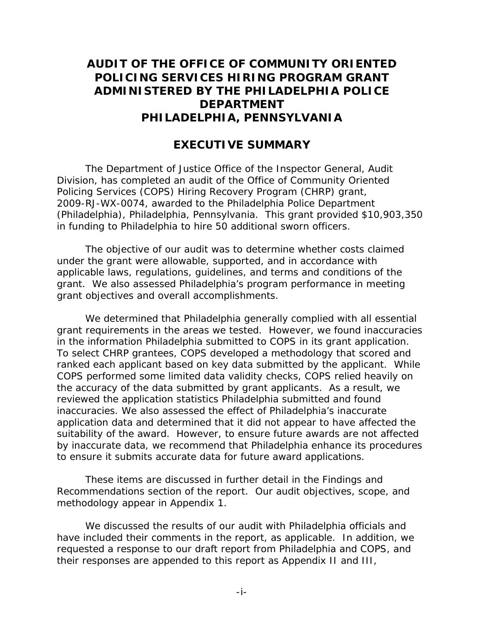# AUDIT OF THE OFFICE OF COMMUNITY ORIENTED POLICING SERVICES HIRING PROGRAM GRANT **DEPARTMENT ADMINISTERED BY THE PHILADELPHIA POLICE** DEPARTMENT<br>PHILADELPHIA, PENNSYLVANIA<br>EXECUTIVE SUMMARY

## **EXECUTIVE SUMMARY**

 Division, has completed an audit of the Office of Community Oriented Policing Services (COPS) Hiring Recovery Program (CHRP) grant, The Department of Justice Office of the Inspector General, Audit 2009-RJ-WX-0074, awarded to the Philadelphia Police Department (Philadelphia), Philadelphia, Pennsylvania. This grant provided \$10,903,350 in funding to Philadelphia to hire 50 additional sworn officers.

The objective of our audit was to determine whether costs claimed under the grant were allowable, supported, and in accordance with applicable laws, regulations, guidelines, and terms and conditions of the grant. We also assessed Philadelphia's program performance in meeting grant objectives and overall accomplishments.

 ranked each applicant based on key data submitted by the applicant. While the accuracy of the data submitted by grant applicants. As a result, we inaccuracies. We also assessed the effect of Philadelphia's inaccurate application data and determined that it did not appear to have affected the suitability of the award. However, to ensure future awards are not affected We determined that Philadelphia generally complied with all essential grant requirements in the areas we tested. However, we found inaccuracies in the information Philadelphia submitted to COPS in its grant application. To select CHRP grantees, COPS developed a methodology that scored and COPS performed some limited data validity checks, COPS relied heavily on reviewed the application statistics Philadelphia submitted and found by inaccurate data, we recommend that Philadelphia enhance its procedures to ensure it submits accurate data for future award applications.

These items are discussed in further detail in the Findings and Recommendations section of the report. Our audit objectives, scope, and methodology appear in Appendix 1.

 their responses are appended to this report as Appendix II and III, We discussed the results of our audit with Philadelphia officials and have included their comments in the report, as applicable. In addition, we requested a response to our draft report from Philadelphia and COPS, and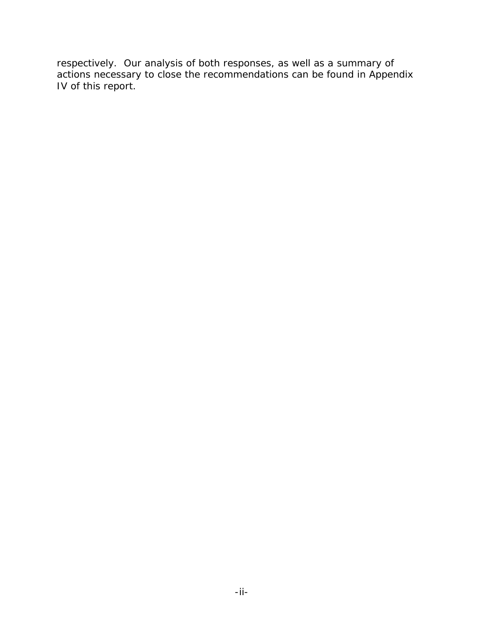respectively. Our analysis of both responses, as well as a summary of actions necessary to close the recommendations can be found in Appendix IV of this report.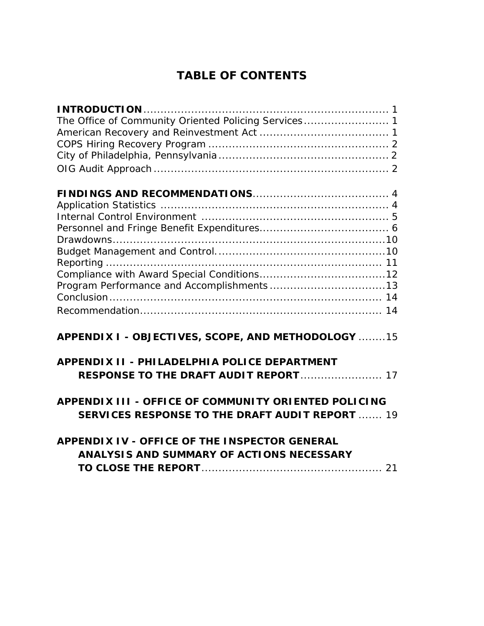# **OF CONTENTS**

| <b>TABLE OF CONTENTS</b>                                                                                                                                                                                                                                            |  |
|---------------------------------------------------------------------------------------------------------------------------------------------------------------------------------------------------------------------------------------------------------------------|--|
| The Office of Community Oriented Policing Services 1                                                                                                                                                                                                                |  |
|                                                                                                                                                                                                                                                                     |  |
| APPENDIX I - OBJECTIVES, SCOPE, AND METHODOLOGY 15<br><b>APPENDIX II - PHILADELPHIA POLICE DEPARTMENT</b>                                                                                                                                                           |  |
| <b>RESPONSE TO THE DRAFT AUDIT REPORT 17</b><br>APPENDIX III - OFFICE OF COMMUNITY ORIENTED POLICING<br><b>SERVICES RESPONSE TO THE DRAFT AUDIT REPORT  19</b><br><b>APPENDIX IV - OFFICE OF THE INSPECTOR GENERAL</b><br>ANALYSIS AND SUMMARY OF ACTIONS NECESSARY |  |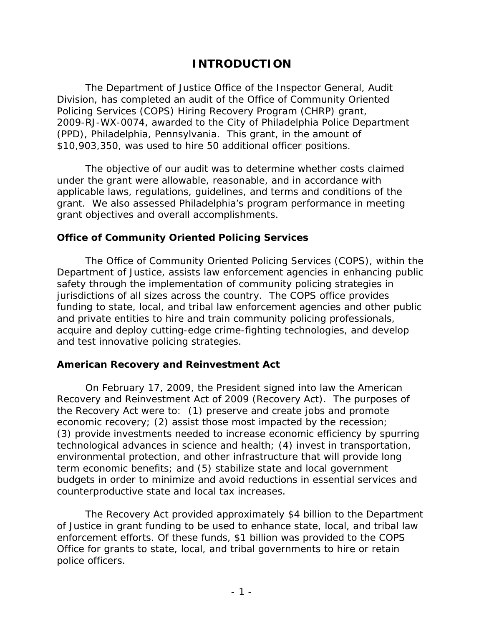## **INTRODUCTION**

 Division, has completed an audit of the Office of Community Oriented Policing Services (COPS) Hiring Recovery Program (CHRP) grant, The Department of Justice Office of the Inspector General, Audit 2009-RJ-WX-0074, awarded to the City of Philadelphia Police Department (PPD), Philadelphia, Pennsylvania. This grant, in the amount of \$10,903,350, was used to hire 50 additional officer positions.

The objective of our audit was to determine whether costs claimed under the grant were allowable, reasonable, and in accordance with applicable laws, regulations, guidelines, and terms and conditions of the grant. We also assessed Philadelphia's program performance in meeting grant objectives and overall accomplishments.

#### **Office of Community Oriented Policing Services**

 The Office of Community Oriented Policing Services (COPS), within the Department of Justice, assists law enforcement agencies in enhancing public safety through the implementation of community policing strategies in jurisdictions of all sizes across the country. The COPS office provides funding to state, local, and tribal law enforcement agencies and other public and private entities to hire and train community policing professionals, acquire and deploy cutting-edge crime-fighting technologies, and develop and test innovative policing strategies.

#### **American Recovery and Reinvestment Act**

 counterproductive state and local tax increases. On February 17, 2009, the President signed into law the American Recovery and Reinvestment Act of 2009 (Recovery Act). The purposes of the Recovery Act were to: (1) preserve and create jobs and promote economic recovery; (2) assist those most impacted by the recession; (3) provide investments needed to increase economic efficiency by spurring technological advances in science and health; (4) invest in transportation, environmental protection, and other infrastructure that will provide long term economic benefits; and (5) stabilize state and local government budgets in order to minimize and avoid reductions in essential services and

 of Justice in grant funding to be used to enhance state, local, and tribal law The Recovery Act provided approximately \$4 billion to the Department enforcement efforts. Of these funds, \$1 billion was provided to the COPS Office for grants to state, local, and tribal governments to hire or retain police officers.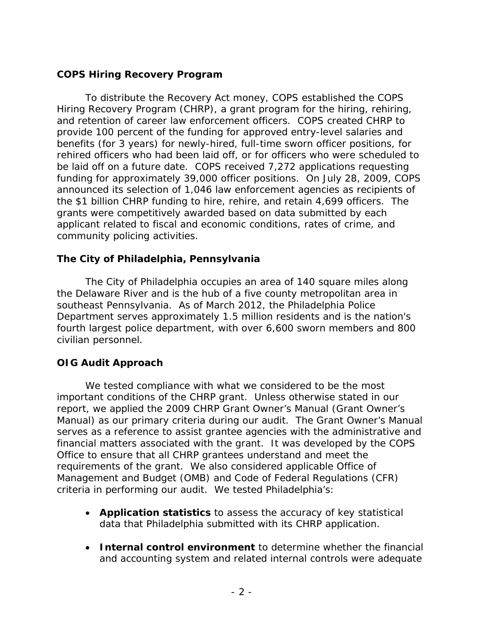## **COPS Hiring Recovery Program**

 be laid off on a future date. COPS received 7,272 applications requesting applicant related to fiscal and economic conditions, rates of crime, and To distribute the Recovery Act money, COPS established the COPS Hiring Recovery Program (CHRP), a grant program for the hiring, rehiring, and retention of career law enforcement officers. COPS created CHRP to provide 100 percent of the funding for approved entry-level salaries and benefits (for 3 years) for newly-hired, full-time sworn officer positions, for rehired officers who had been laid off, or for officers who were scheduled to funding for approximately 39,000 officer positions. On July 28, 2009, COPS announced its selection of 1,046 law enforcement agencies as recipients of the \$1 billion CHRP funding to hire, rehire, and retain 4,699 officers. The grants were competitively awarded based on data submitted by each community policing activities.

#### **The City of Philadelphia, Pennsylvania**

 southeast Pennsylvania. As of March 2012, the Philadelphia Police Department serves approximately 1.5 million residents and is the nation's The City of Philadelphia occupies an area of 140 square miles along the Delaware River and is the hub of a five county metropolitan area in fourth largest police department, with over 6,600 sworn members and 800 civilian personnel.

## **OIG Audit Approach**

 We tested compliance with what we considered to be the most financial matters associated with the grant. It was developed by the COPS important conditions of the CHRP grant. Unless otherwise stated in our report, we applied the 2009 CHRP Grant Owner's Manual (Grant Owner's Manual) as our primary criteria during our audit. The Grant Owner's Manual serves as a reference to assist grantee agencies with the administrative and Office to ensure that all CHRP grantees understand and meet the requirements of the grant. We also considered applicable Office of Management and Budget (OMB) and Code of Federal Regulations (CFR) criteria in performing our audit. We tested Philadelphia's:

- •**Application statistics** to assess the accuracy of key statistical data that Philadelphia submitted with its CHRP application.
- •**Internal control environment** to determine whether the financial and accounting system and related internal controls were adequate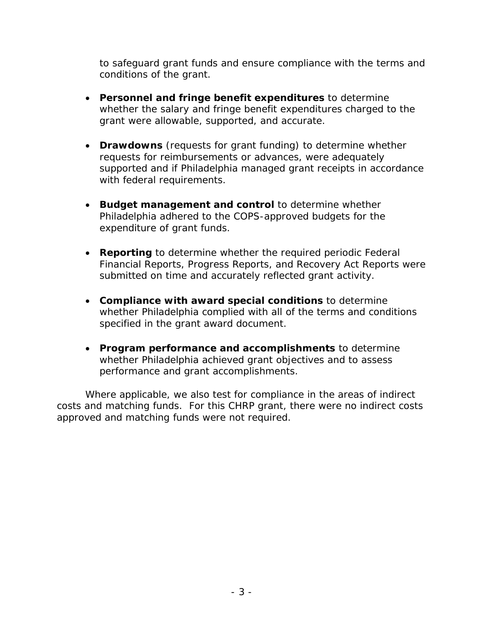to safeguard grant funds and ensure compliance with the terms and conditions of the grant.

- •**Personnel and fringe benefit expenditures** to determine whether the salary and fringe benefit expenditures charged to the grant were allowable, supported, and accurate.
- •**Drawdowns** (requests for grant funding) to determine whether requests for reimbursements or advances, were adequately supported and if Philadelphia managed grant receipts in accordance with federal requirements.
- Philadelphia adhered to the COPS-approved budgets for the •**Budget management and control** to determine whether expenditure of grant funds.
- •**Reporting** to determine whether the required periodic Federal Financial Reports, Progress Reports, and Recovery Act Reports were submitted on time and accurately reflected grant activity.
- •**Compliance with award special conditions** to determine whether Philadelphia complied with all of the terms and conditions specified in the grant award document.
- •**Program performance and accomplishments** to determine whether Philadelphia achieved grant objectives and to assess performance and grant accomplishments.

approved and matching funds were not required. Where applicable, we also test for compliance in the areas of indirect costs and matching funds. For this CHRP grant, there were no indirect costs approved and matching funds were not required.<br> $-3$  -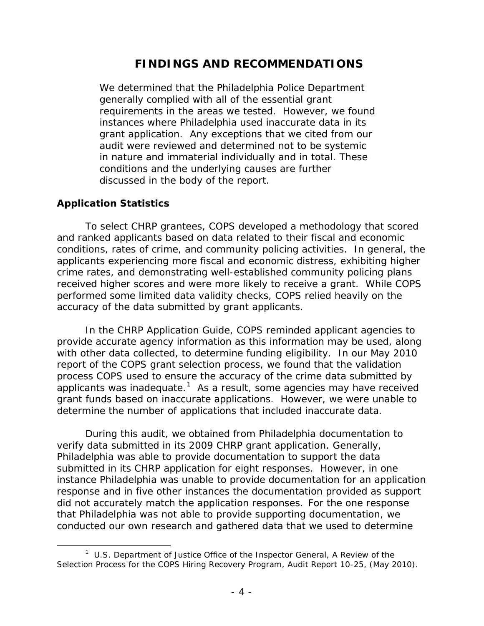## **FINDINGS AND RECOMMENDATIONS**

 generally complied with all of the essential grant instances where Philadelphia used inaccurate data in its grant application. Any exceptions that we cited from our We determined that the Philadelphia Police Department requirements in the areas we tested. However, we found audit were reviewed and determined not to be systemic in nature and immaterial individually and in total. These conditions and the underlying causes are further discussed in the body of the report.

#### **Application Statistics**

l

 received higher scores and were more likely to receive a grant. While COPS performed some limited data validity checks, COPS relied heavily on the accuracy of the data submitted by grant applicants. To select CHRP grantees, COPS developed a methodology that scored and ranked applicants based on data related to their fiscal and economic conditions, rates of crime, and community policing activities. In general, the applicants experiencing more fiscal and economic distress, exhibiting higher crime rates, and demonstrating well-established community policing plans

 with other data collected, to determine funding eligibility. In our May 2010 applicants was inadequate.<sup>1</sup> As a result, some agencies may have received In the CHRP Application Guide, COPS reminded applicant agencies to provide accurate agency information as this information may be used, along report of the COPS grant selection process, we found that the validation process COPS used to ensure the accuracy of the crime data submitted by grant funds based on inaccurate applications. However, we were unable to determine the number of applications that included inaccurate data.

 Philadelphia was able to provide documentation to support the data submitted in its CHRP application for eight responses. However, in one did not accurately match the application responses. For the one response During this audit, we obtained from Philadelphia documentation to verify data submitted in its 2009 CHRP grant application. Generally, instance Philadelphia was unable to provide documentation for an application response and in five other instances the documentation provided as support that Philadelphia was not able to provide supporting documentation, we conducted our own research and gathered data that we used to determine

 1 U.S. Department of Justice Office of the Inspector General, *A Review of the Selection Process for the COPS Hiring Recovery Program,* Audit Report 10-25, (May 2010).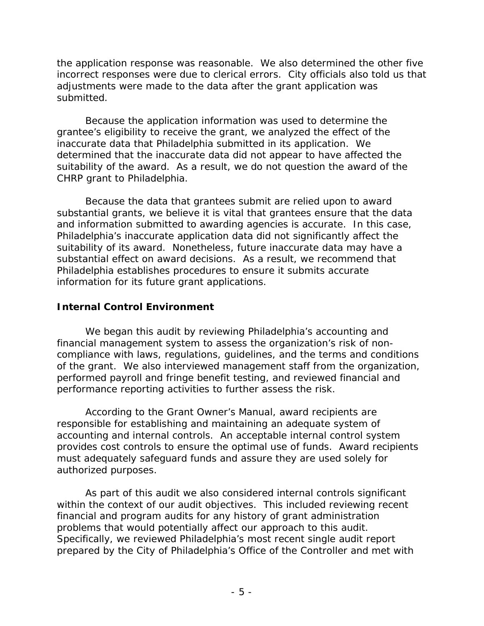incorrect responses were due to clerical errors. City officials also told us that the application response was reasonable. We also determined the other five adjustments were made to the data after the grant application was submitted.

 inaccurate data that Philadelphia submitted in its application. We Because the application information was used to determine the grantee's eligibility to receive the grant, we analyzed the effect of the determined that the inaccurate data did not appear to have affected the suitability of the award. As a result, we do not question the award of the CHRP grant to Philadelphia.

Because the data that grantees submit are relied upon to award substantial grants, we believe it is vital that grantees ensure that the data and information submitted to awarding agencies is accurate. In this case, Philadelphia's inaccurate application data did not significantly affect the suitability of its award. Nonetheless, future inaccurate data may have a substantial effect on award decisions. As a result, we recommend that Philadelphia establishes procedures to ensure it submits accurate information for its future grant applications.

## **Internal Control Environment**

We began this audit by reviewing Philadelphia's accounting and financial management system to assess the organization's risk of noncompliance with laws, regulations, guidelines, and the terms and conditions of the grant. We also interviewed management staff from the organization, performed payroll and fringe benefit testing, and reviewed financial and performance reporting activities to further assess the risk.

According to the Grant Owner's Manual, award recipients are responsible for establishing and maintaining an adequate system of accounting and internal controls. An acceptable internal control system provides cost controls to ensure the optimal use of funds. Award recipients must adequately safeguard funds and assure they are used solely for authorized purposes.

As part of this audit we also considered internal controls significant within the context of our audit objectives. This included reviewing recent financial and program audits for any history of grant administration problems that would potentially affect our approach to this audit. Specifically, we reviewed Philadelphia's most recent single audit report prepared by the City of Philadelphia's Office of the Controller and met with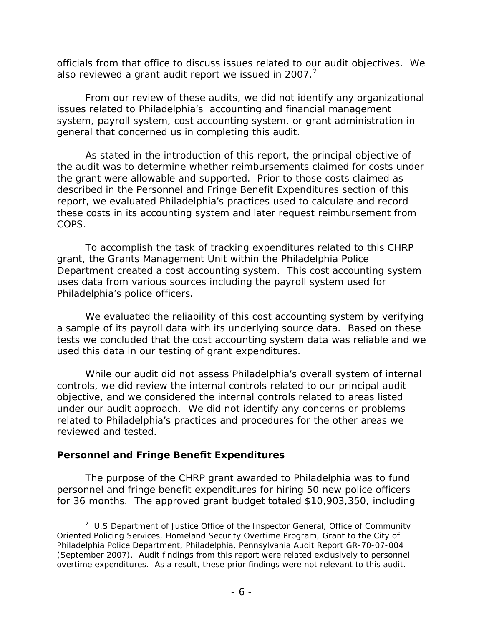officials from that office to discuss issues related to our audit objectives. We also reviewed a grant audit report we issued in 2007. $^2$ 

From our review of these audits, we did not identify any organizational issues related to Philadelphia's accounting and financial management system, payroll system, cost accounting system, or grant administration in general that concerned us in completing this audit.

As stated in the introduction of this report, the principal objective of the audit was to determine whether reimbursements claimed for costs under the grant were allowable and supported. Prior to those costs claimed as described in the Personnel and Fringe Benefit Expenditures section of this report, we evaluated Philadelphia's practices used to calculate and record these costs in its accounting system and later request reimbursement from COPS.

 grant, the Grants Management Unit within the Philadelphia Police To accomplish the task of tracking expenditures related to this CHRP Department created a cost accounting system. This cost accounting system uses data from various sources including the payroll system used for Philadelphia's police officers.

 tests we concluded that the cost accounting system data was reliable and we used this data in our testing of grant expenditures. We evaluated the reliability of this cost accounting system by verifying a sample of its payroll data with its underlying source data. Based on these

 objective, and we considered the internal controls related to areas listed related to Philadelphia's practices and procedures for the other areas we While our audit did not assess Philadelphia's overall system of internal controls, we did review the internal controls related to our principal audit under our audit approach. We did not identify any concerns or problems reviewed and tested.

#### **Personnel and Fringe Benefit Expenditures**

 $\overline{\phantom{a}}$ 

The purpose of the CHRP grant awarded to Philadelphia was to fund personnel and fringe benefit expenditures for hiring 50 new police officers for 36 months. The approved grant budget totaled \$10,903,350, including

 $2$  U.S Department of Justice Office of the Inspector General, Office of Community Oriented Policing Services, Homeland Security Overtime Program, Grant to the City of Philadelphia Police Department, Philadelphia, Pennsylvania Audit Report GR-70-07-004 (September 2007). Audit findings from this report were related exclusively to personnel overtime expenditures. As a result, these prior findings were not relevant to this audit.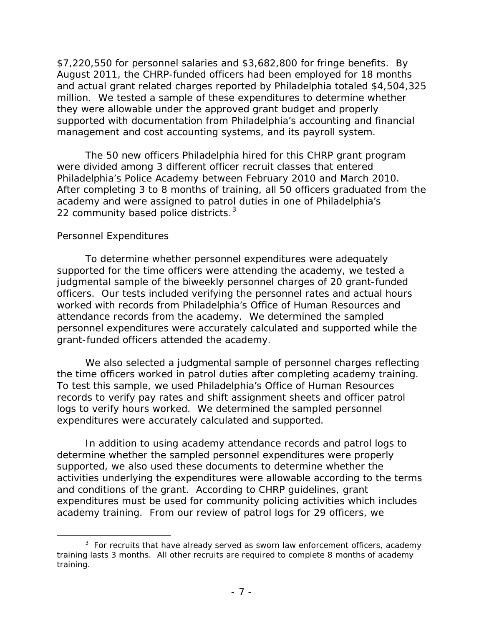they were allowable under the approved grant budget and properly management and cost accounting systems, and its payroll system. \$7,220,550 for personnel salaries and \$3,682,800 for fringe benefits. By August 2011, the CHRP-funded officers had been employed for 18 months and actual grant related charges reported by Philadelphia totaled \$4,504,325 million. We tested a sample of these expenditures to determine whether supported with documentation from Philadelphia's accounting and financial

Philadelphia's Police Academy between February 2010 and March 2010. 22 community based police districts.<sup>3</sup> The 50 new officers Philadelphia hired for this CHRP grant program were divided among 3 different officer recruit classes that entered After completing 3 to 8 months of training, all 50 officers graduated from the academy and were assigned to patrol duties in one of Philadelphia's

#### *Personnel Expenditures*

 $\overline{\phantom{a}}$ 

 judgmental sample of the biweekly personnel charges of 20 grant-funded officers. Our tests included verifying the personnel rates and actual hours To determine whether personnel expenditures were adequately supported for the time officers were attending the academy, we tested a worked with records from Philadelphia's Office of Human Resources and attendance records from the academy. We determined the sampled personnel expenditures were accurately calculated and supported while the grant-funded officers attended the academy.

 To test this sample, we used Philadelphia's Office of Human Resources logs to verify hours worked. We determined the sampled personnel We also selected a judgmental sample of personnel charges reflecting the time officers worked in patrol duties after completing academy training. records to verify pay rates and shift assignment sheets and officer patrol expenditures were accurately calculated and supported.

 and conditions of the grant. According to CHRP guidelines, grant academy training. From our review of patrol logs for 29 officers, we In addition to using academy attendance records and patrol logs to determine whether the sampled personnel expenditures were properly supported, we also used these documents to determine whether the activities underlying the expenditures were allowable according to the terms expenditures must be used for community policing activities which includes

 $3$  For recruits that have already served as sworn law enforcement officers, academy training lasts 3 months. All other recruits are required to complete 8 months of academy training.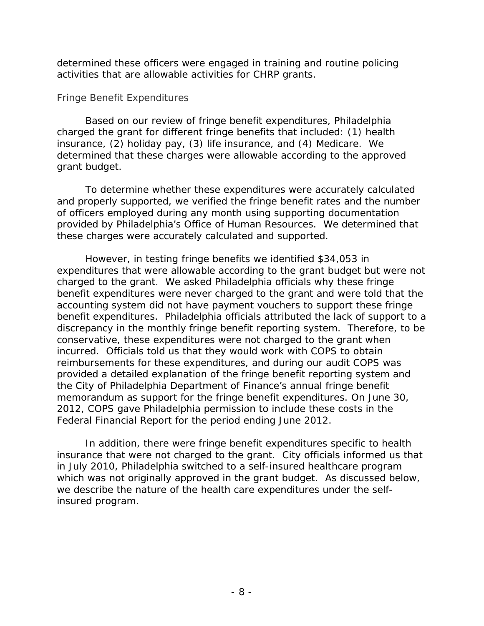determined these officers were engaged in training and routine policing activities that are allowable activities for CHRP grants.

#### *Fringe Benefit Expenditures*

Based on our review of fringe benefit expenditures, Philadelphia charged the grant for different fringe benefits that included: (1) health insurance, (2) holiday pay, (3) life insurance, and (4) Medicare. We determined that these charges were allowable according to the approved grant budget.

 provided by Philadelphia's Office of Human Resources. We determined that To determine whether these expenditures were accurately calculated and properly supported, we verified the fringe benefit rates and the number of officers employed during any month using supporting documentation these charges were accurately calculated and supported.

 charged to the grant. We asked Philadelphia officials why these fringe discrepancy in the monthly fringe benefit reporting system. Therefore, to be 2012, COPS gave Philadelphia permission to include these costs in the However, in testing fringe benefits we identified \$34,053 in expenditures that were allowable according to the grant budget but were not benefit expenditures were never charged to the grant and were told that the accounting system did not have payment vouchers to support these fringe benefit expenditures. Philadelphia officials attributed the lack of support to a conservative, these expenditures were not charged to the grant when incurred. Officials told us that they would work with COPS to obtain reimbursements for these expenditures, and during our audit COPS was provided a detailed explanation of the fringe benefit reporting system and the City of Philadelphia Department of Finance's annual fringe benefit memorandum as support for the fringe benefit expenditures. On June 30, Federal Financial Report for the period ending June 2012.

 insurance that were not charged to the grant. City officials informed us that which was not originally approved in the grant budget. As discussed below, In addition, there were fringe benefit expenditures specific to health in July 2010, Philadelphia switched to a self-insured healthcare program we describe the nature of the health care expenditures under the selfinsured program.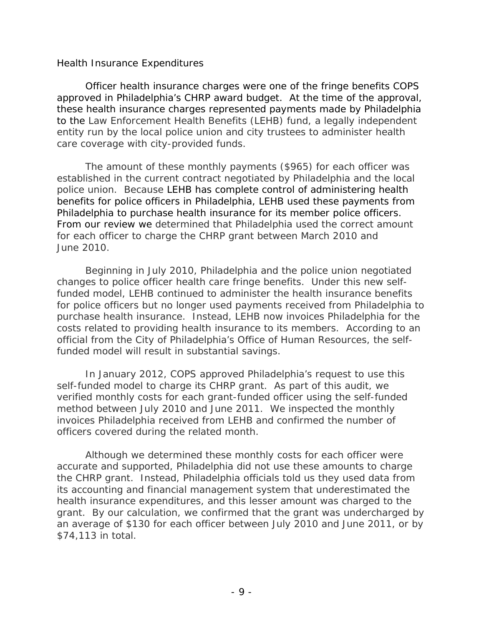#### *Health Insurance Expenditures*

 approved in Philadelphia's CHRP award budget. At the time of the approval, these health insurance charges represented payments made by Philadelphia to the Law Enforcement Health Benefits (LEHB) fund, a legally independent entity run by the local police union and city trustees to administer health Officer health insurance charges were one of the fringe benefits COPS care coverage with city-provided funds.

 established in the current contract negotiated by Philadelphia and the local The amount of these monthly payments (\$965) for each officer was police union. Because LEHB has complete control of administering health benefits for police officers in Philadelphia, LEHB used these payments from Philadelphia to purchase health insurance for its member police officers. From our review we determined that Philadelphia used the correct amount for each officer to charge the CHRP grant between March 2010 and June 2010.

 for police officers but no longer used payments received from Philadelphia to Beginning in July 2010, Philadelphia and the police union negotiated changes to police officer health care fringe benefits. Under this new selffunded model, LEHB continued to administer the health insurance benefits purchase health insurance. Instead, LEHB now invoices Philadelphia for the costs related to providing health insurance to its members. According to an official from the City of Philadelphia's Office of Human Resources, the selffunded model will result in substantial savings.

In January 2012, COPS approved Philadelphia's request to use this self-funded model to charge its CHRP grant. As part of this audit, we verified monthly costs for each grant-funded officer using the self-funded method between July 2010 and June 2011. We inspected the monthly invoices Philadelphia received from LEHB and confirmed the number of officers covered during the related month.

 \$74,113 in total. Although we determined these monthly costs for each officer were accurate and supported, Philadelphia did not use these amounts to charge the CHRP grant. Instead, Philadelphia officials told us they used data from its accounting and financial management system that underestimated the health insurance expenditures, and this lesser amount was charged to the grant. By our calculation, we confirmed that the grant was undercharged by an average of \$130 for each officer between July 2010 and June 2011, or by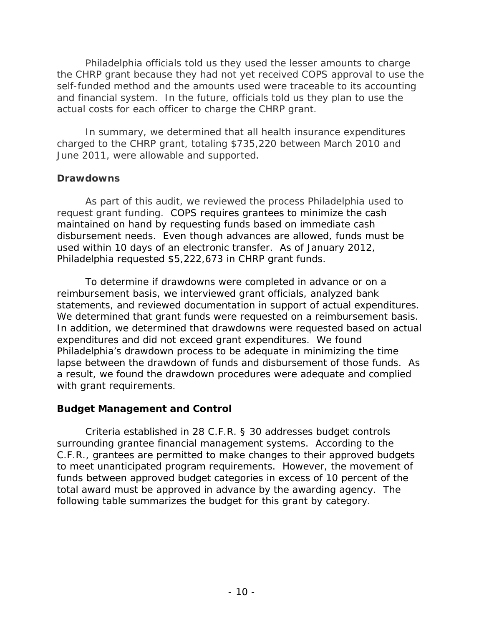and financial system. In the future, officials told us they plan to use the Philadelphia officials told us they used the lesser amounts to charge the CHRP grant because they had not yet received COPS approval to use the self-funded method and the amounts used were traceable to its accounting actual costs for each officer to charge the CHRP grant.

 June 2011, were allowable and supported. In summary, we determined that all health insurance expenditures charged to the CHRP grant, totaling \$735,220 between March 2010 and

#### **Drawdowns**

 used within 10 days of an electronic transfer. As of January 2012, As part of this audit, we reviewed the process Philadelphia used to request grant funding. COPS requires grantees to minimize the cash maintained on hand by requesting funds based on immediate cash disbursement needs. Even though advances are allowed, funds must be Philadelphia requested \$5,222,673 in CHRP grant funds.

statements, and reviewed documentation in support of actual expenditures. We determined that grant funds were requested on a reimbursement basis. To determine if drawdowns were completed in advance or on a reimbursement basis, we interviewed grant officials, analyzed bank In addition, we determined that drawdowns were requested based on actual expenditures and did not exceed grant expenditures. We found Philadelphia's drawdown process to be adequate in minimizing the time lapse between the drawdown of funds and disbursement of those funds. As a result, we found the drawdown procedures were adequate and complied with grant requirements.

## **Budget Management and Control**

 Criteria established in 28 C.F.R. § 30 addresses budget controls surrounding grantee financial management systems. According to the C.F.R., grantees are permitted to make changes to their approved budgets to meet unanticipated program requirements. However, the movement of funds between approved budget categories in excess of 10 percent of the total award must be approved in advance by the awarding agency. The following table summarizes the budget for this grant by category.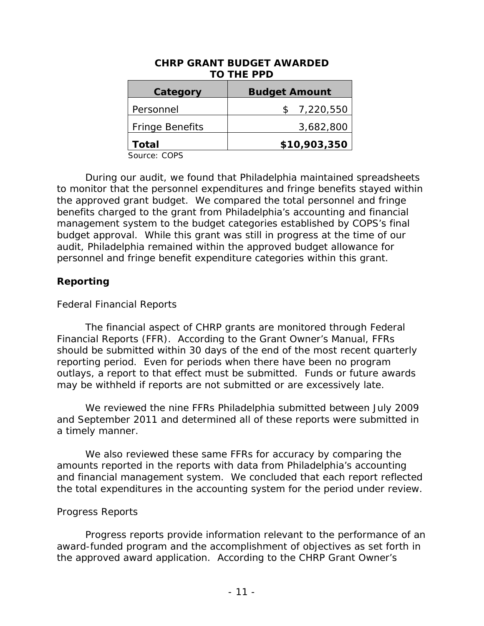|                        | <b>TO THE PPD</b>    |
|------------------------|----------------------|
| Category               | <b>Budget Amount</b> |
| Personnel              | 7,220,550            |
| <b>Fringe Benefits</b> | 3,682,800            |
| Total                  | \$10,903,350         |

# **CHRP GRANT BUDGET AWARDED**

Source: COPS

 to monitor that the personnel expenditures and fringe benefits stayed within the approved grant budget. We compared the total personnel and fringe budget approval. While this grant was still in progress at the time of our audit, Philadelphia remained within the approved budget allowance for During our audit, we found that Philadelphia maintained spreadsheets benefits charged to the grant from Philadelphia's accounting and financial management system to the budget categories established by COPS's final personnel and fringe benefit expenditure categories within this grant.

#### **Reporting**

#### *Federal Financial Reports*

 outlays, a report to that effect must be submitted. Funds or future awards The financial aspect of CHRP grants are monitored through Federal Financial Reports (FFR). According to the Grant Owner's Manual, FFRs should be submitted within 30 days of the end of the most recent quarterly reporting period. Even for periods when there have been no program may be withheld if reports are not submitted or are excessively late.

 We reviewed the nine FFRs Philadelphia submitted between July 2009 and September 2011 and determined all of these reports were submitted in a timely manner.

 and financial management system. We concluded that each report reflected the total expenditures in the accounting system for the period under review. We also reviewed these same FFRs for accuracy by comparing the amounts reported in the reports with data from Philadelphia's accounting

#### *Progress Reports*

 the approved award application. According to the CHRP Grant Owner's Progress reports provide information relevant to the performance of an award-funded program and the accomplishment of objectives as set forth in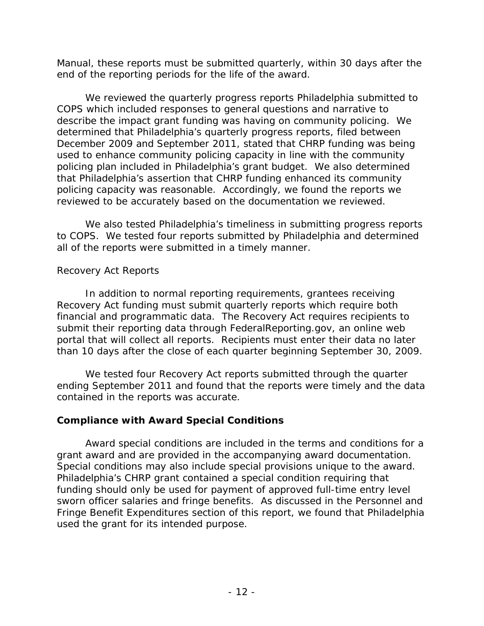end of the reporting periods for the life of the award. Manual, these reports must be submitted quarterly, within 30 days after the

 that Philadelphia's assertion that CHRP funding enhanced its community policing capacity was reasonable. Accordingly, we found the reports we reviewed to be accurately based on the documentation we reviewed. We reviewed the quarterly progress reports Philadelphia submitted to COPS which included responses to general questions and narrative to describe the impact grant funding was having on community policing. We determined that Philadelphia's quarterly progress reports, filed between December 2009 and September 2011, stated that CHRP funding was being used to enhance community policing capacity in line with the community policing plan included in Philadelphia's grant budget. We also determined

 all of the reports were submitted in a timely manner. We also tested Philadelphia's timeliness in submitting progress reports to COPS. We tested four reports submitted by Philadelphia and determined

#### *Recovery Act Report*s

 financial and programmatic data. The Recovery Act requires recipients to In addition to normal reporting requirements, grantees receiving Recovery Act funding must submit quarterly reports which require both submit their reporting data through FederalReporting.gov, an online web portal that will collect all reports. Recipients must enter their data no later

 than 10 days after the close of each quarter beginning September 30, 2009. We tested four Recovery Act reports submitted through the quarter ending September 2011 and found that the reports were timely and the data contained in the reports was accurate.

#### **Compliance with Award Special Conditions**

grant award and are provided in the accompanying award documentation. grant award and are provided in the accompanying award documentation.<br>Special conditions may also include special provisions unique to the award. Award special conditions are included in the terms and conditions for a Philadelphia's CHRP grant contained a special condition requiring that funding should only be used for payment of approved full-time entry level sworn officer salaries and fringe benefits. As discussed in the Personnel and Fringe Benefit Expenditures section of this report, we found that Philadelphia used the grant for its intended purpose.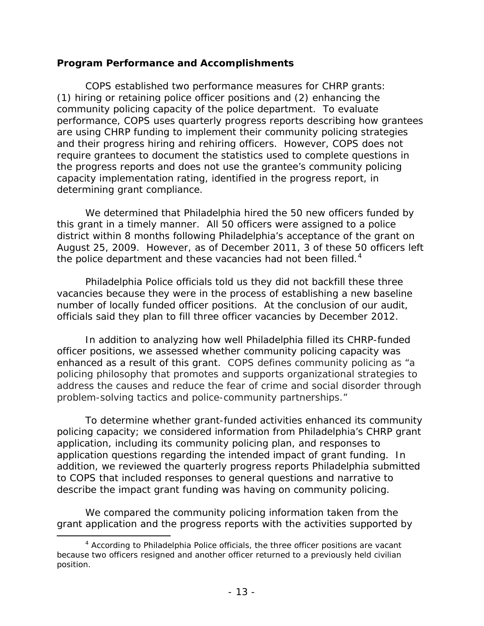#### **Program Performance and Accomplishments**

COPS established two performance measures for CHRP grants: community policing capacity of the police department. To evaluate and their progress hiring and rehiring officers. However, COPS does not the progress reports and does not use the grantee's community policing (1) hiring or retaining police officer positions and (2) enhancing the performance, COPS uses quarterly progress reports describing how grantees are using CHRP funding to implement their community policing strategies require grantees to document the statistics used to complete questions in capacity implementation rating, identified in the progress report, in determining grant compliance.

 We determined that Philadelphia hired the 50 new officers funded by this grant in a timely manner. All 50 officers were assigned to a police district within 8 months following Philadelphia's acceptance of the grant on the police department and these vacancies had not been filled. $4$ August 25, 2009. However, as of December 2011, 3 of these 50 officers left

 Philadelphia Police officials told us they did not backfill these three number of locally funded officer positions. At the conclusion of our audit, vacancies because they were in the process of establishing a new baseline officials said they plan to fill three officer vacancies by December 2012.

 enhanced as a result of this grant. COPS defines community policing as "a In addition to analyzing how well Philadelphia filled its CHRP-funded officer positions, we assessed whether community policing capacity was policing philosophy that promotes and supports organizational strategies to address the causes and reduce the fear of crime and social disorder through problem-solving tactics and police-community partnerships."

describe the impact grant funding was having on community policing. To determine whether grant-funded activities enhanced its community policing capacity; we considered information from Philadelphia's CHRP grant application, including its community policing plan, and responses to application questions regarding the intended impact of grant funding. In addition, we reviewed the quarterly progress reports Philadelphia submitted to COPS that included responses to general questions and narrative to

We compared the community policing information taken from the grant application and the progress reports with the activities supported by

 $\overline{\phantom{a}}$  $4$  According to Philadelphia Police officials, the three officer positions are vacant because two officers resigned and another officer returned to a previously held civilian position.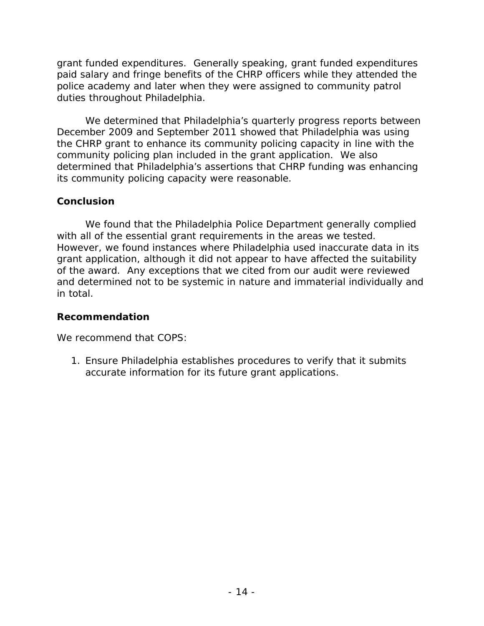grant funded expenditures. Generally speaking, grant funded expenditures paid salary and fringe benefits of the CHRP officers while they attended the police academy and later when they were assigned to community patrol duties throughout Philadelphia.

We determined that Philadelphia's quarterly progress reports between December 2009 and September 2011 showed that Philadelphia was using the CHRP grant to enhance its community policing capacity in line with the community policing plan included in the grant application. We also determined that Philadelphia's assertions that CHRP funding was enhancing its community policing capacity were reasonable.

#### **Conclusion**

 However, we found instances where Philadelphia used inaccurate data in its We found that the Philadelphia Police Department generally complied with all of the essential grant requirements in the areas we tested. grant application, although it did not appear to have affected the suitability of the award. Any exceptions that we cited from our audit were reviewed and determined not to be systemic in nature and immaterial individually and in total.

#### **Recommendation**

We recommend that COPS:

1. Ensure Philadelphia establishes procedures to verify that it submits accurate information for its future grant applications.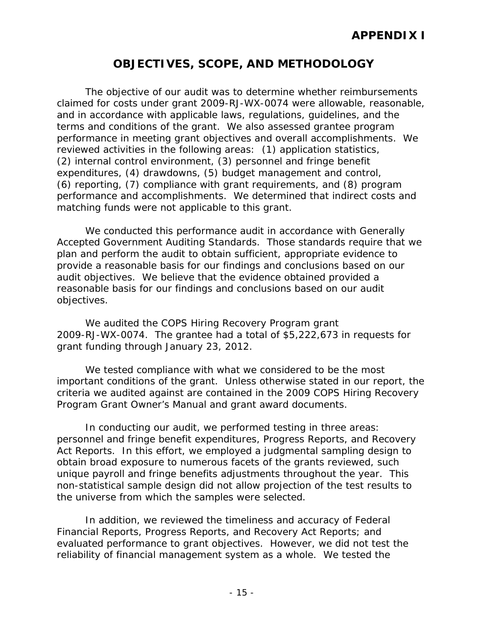# **OBJECTIVES, SCOPE, AND METHODOLOGY**

 performance and accomplishments. We determined that indirect costs and The objective of our audit was to determine whether reimbursements claimed for costs under grant 2009-RJ-WX-0074 were allowable, reasonable, and in accordance with applicable laws, regulations, guidelines, and the terms and conditions of the grant. We also assessed grantee program performance in meeting grant objectives and overall accomplishments. We reviewed activities in the following areas: (1) application statistics, (2) internal control environment, (3) personnel and fringe benefit expenditures, (4) drawdowns, (5) budget management and control, (6) reporting, (7) compliance with grant requirements, and (8) program matching funds were not applicable to this grant.

 reasonable basis for our findings and conclusions based on our audit We conducted this performance audit in accordance with Generally Accepted Government Auditing Standards. Those standards require that we plan and perform the audit to obtain sufficient, appropriate evidence to provide a reasonable basis for our findings and conclusions based on our audit objectives. We believe that the evidence obtained provided a objectives.

We audited the COPS Hiring Recovery Program grant 2009-RJ-WX-0074. The grantee had a total of \$5,222,673 in requests for grant funding through January 23, 2012.

We tested compliance with what we considered to be the most important conditions of the grant. Unless otherwise stated in our report, the criteria we audited against are contained in the 2009 COPS Hiring Recovery Program Grant Owner's Manual and grant award documents.

 Act Reports. In this effort, we employed a judgmental sampling design to In conducting our audit, we performed testing in three areas: personnel and fringe benefit expenditures, Progress Reports, and Recovery obtain broad exposure to numerous facets of the grants reviewed, such unique payroll and fringe benefits adjustments throughout the year. This non-statistical sample design did not allow projection of the test results to the universe from which the samples were selected.

 evaluated performance to grant objectives. However, we did not test the In addition, we reviewed the timeliness and accuracy of Federal Financial Reports, Progress Reports, and Recovery Act Reports; and reliability of financial management system as a whole. We tested the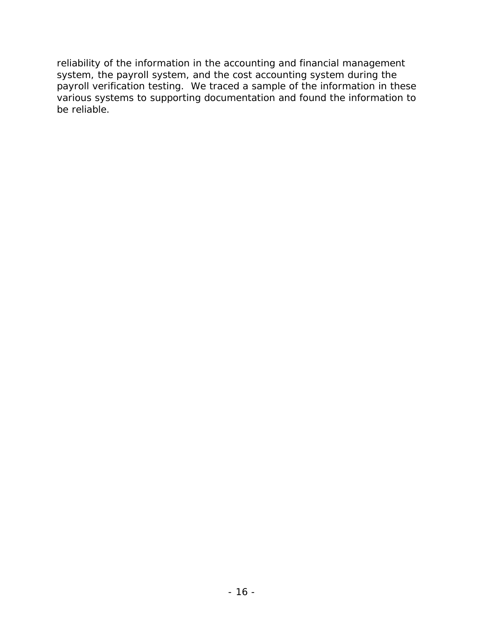reliability of the information in the accounting and financial management system, the payroll system, and the cost accounting system during the payroll verification testing. We traced a sample of the information in these various systems to supporting documentation and found the information to be reliable.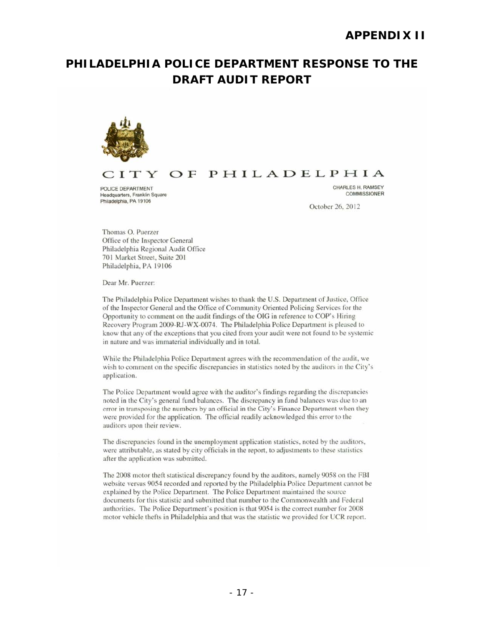# **DRAFT AUDIT REPORTPHILADELPHIA POLICE DEPARTMENT RESPONSE TO THE**



#### ITY OF PHILADELPHIA

POLICE DEPARTMENT<br>
POLICE DEPARTMENT<br>
Peadouarters, Franklin Square Headquarters, Franklin Square Philadelphia, PA 19106

October 26, 2012

Thomas O. Puerzer Office of the Inspector General Philadelphia Regional Audit Office 701 Markel Street, Suite 201 Philadelphia, PA 19106

Dear Mr. Puerzer:

The Philadelphia Police Department wishes to thank the U.S. Department of Justice, Office of the Inspector General and the Office of Community Oriented Policing Services for the Opportunity to comment on the audit findings of the OIG in reference to COP's Hiring Recovery Program 2009-RJ-WX-0074. The Philadelphia Police Department is pleased to know that any of the exceptions that you cited from your audit were not found to be systemic in nature and was immaterial individually and in total.

While the Philadelphia Police Department agrees with the recommendation of the audit, we wish to comment on the specific discrepancies in statistics noted by the auditors in the City's application.

The Police Department would agree with the auditor's findings regarding the discrepancies noted in the City's general fund balances. The discrepancy in fund balances was due to an error in transposing the numbers by an official in the City's Finance Department when they were provided for the application. The official readily acknowledged this error to the auditors upon their review.

The discrepancies found in the unemployment application statistics, noted by the auditors, were attributable, as stated by city officials in the report, to adjustments to these statistics after the application was submitted.

The 2008 motor theft statistical discrepancy found by the auditors, namely 9058 on the FBI website versus 9054 recorded and reported by the Philadelphia Police Department cannot be explained by the Police Department. The Police Department maintained the source documents for this statistic and submitted that number to the Commonwealth and Federal authorities. The Police Department's position is that 9054 is the correct number for 2008 motor vehicle thefts in Philadelphia and that was the statistic we provided for UCR report.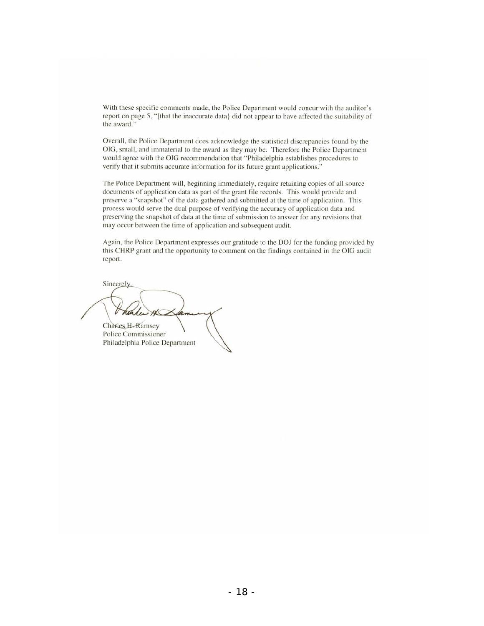With these specific comments made, the Police Department would concur with the auditor's report on page 5, "[that the inaccurate data] did not appear to have affected the suitability of the award."

Overall, the Police Department does acknowledge the statistical discrepancies found by the OIG, small, and immaterial to the award as they may be. Therefore the Police Department would agree with the OIG recommendation that "Philadelphia establishes procedures to verify that it submits accurate information for its future grant applications."

The Police Department will, beginning immediately, require retaining copies of all source documents of application data as part of the grant file records. This would provide and preserve a "snapshot" of the data gathered and submitted at the time of application. This process would serve the dual purpose of verifying the accuracy of application data and preserving the snapshot of data at the time of submission to answer for any revisions that may occur between the time of application and subsequent audit.

Again, the Police Department expresses our gratitude to the DOJ for the funding provided by this CHRP grant and the opportunity to comment on the findings contained in the OIG audit report.

Sincerely,  $\sim$   $\sim$ Police Commissioner

Philadelphia Police Department

 $-18-$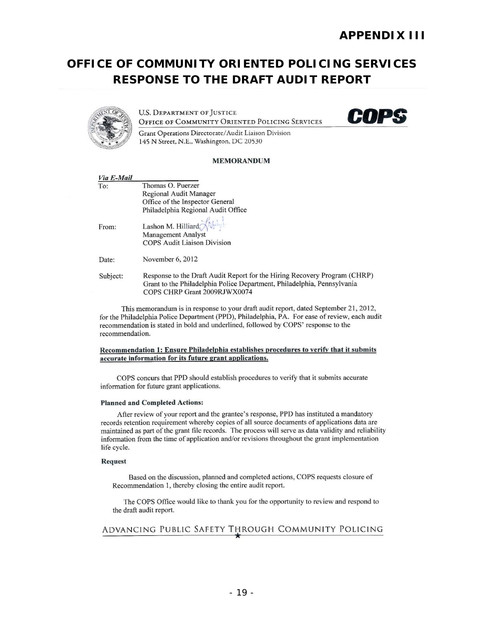# **RESPONSE TO THE DRAFT AUDIT REPORTOFFICE OF COMMUNITY ORIENTED POLICING SERVICES**



**U.S. DEPARTMENT OF JUSTICE OFFICE OF COMMUNITY ORIENTED POLICING SERVICES** 



Gram Operations Directorate/ Audit Liaison Division 145 N Street, N.E., Washington, DC 20530

#### MEMORANDUM

| Via E-Mail |                                                                                                                                                                                      |
|------------|--------------------------------------------------------------------------------------------------------------------------------------------------------------------------------------|
| To:        | Thomas O. Puerzer                                                                                                                                                                    |
|            | Regional Audit Manager                                                                                                                                                               |
|            | Office of the Inspector General                                                                                                                                                      |
|            | Philadelphia Regional Audit Office                                                                                                                                                   |
| From:      | Lashon M. Hilliard $\overline{\mathcal{M}}$                                                                                                                                          |
|            | <b>Management Analyst</b>                                                                                                                                                            |
|            | <b>COPS Audit Liaison Division</b>                                                                                                                                                   |
| Date:      | November 6, 2012                                                                                                                                                                     |
| Subject:   | Response to the Draft Audit Report for the Hiring Recovery Program (CHRP)<br>Grant to the Philadelphia Police Department, Philadelphia, Pennsylvania<br>COPS CHRP Grant 2009RJWX0074 |

This memorandum is in response to your draft audit report, dated September 21, 2012, for the Philadelphia Police Department (PPD), Philadelphia, PA. For ease of review, each audit recommendation is stated in bold and underlined, followed by COPS' response to the recommendation.

#### Recommendation 1: Ensure Philadelphia establishes procedures to verify that it submits accurate information for its future grant applications.

COPS concurs that PPD should establish procedures to verify that it submits accurate information for future grant applications.

#### Planned and Completed Actions:

After review of your report and the grantee's response, PPD has instituted a mandatory records retention requirement whereby copies of all source documents of applications data are maintained as part of the grant file records. The process will serve as data validity and reliability information from the time of application and/or revisions throughout the grant implementation life cycle.

#### Request

Based on the discussion, planned and completed actions, COPS requests closure of Recommendation 1, thereby closing the entire audit report.

The COPS Office would like to thank you for the opportunity to review and respond to the draft audit report.

#### ADVANCING PUBLIC SAFETY THROUGH COMMUNITY POLICING  $\star$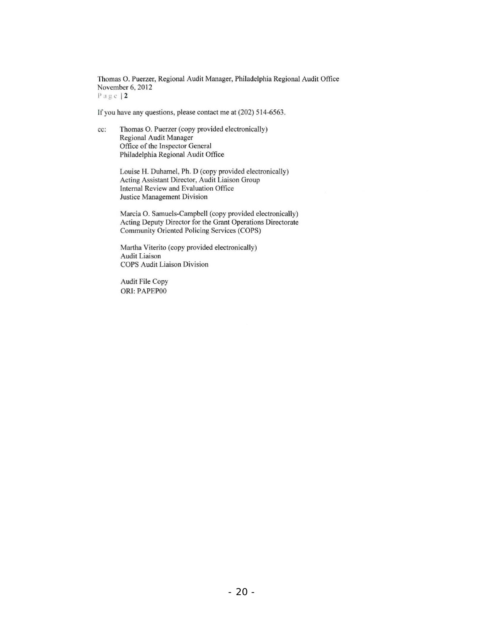Thomas O. Puerzer, Regional Audit Manager, Philadelphia Regional Audit Office November 6, 2012  $P$  a g. c. | 2

If you have any questions, please contact me at  $(202)$  514-6563.

cc: Thomas O. Puerzer (copy provided electronically) Regional Audit Manager Office of the Inspector General Philadelphia Regional Audit Office

> Louise H. Duhamel, Ph. D (copy provided electronically) Acting Assistant Director, Audit Liaison Group Internal Review and Evaluation Office Justice Management Division

Marcia O. Samuels-Campbell (copy provided electronically) Acting Deputy Director for the Grant Operations Directorate Community Oriented Policing Services (COPS)

Martha Viterito (copy provided electronically) Audit Liaison COPS Audit Liaison Division

Audit File Copy ORI: PAPEP00